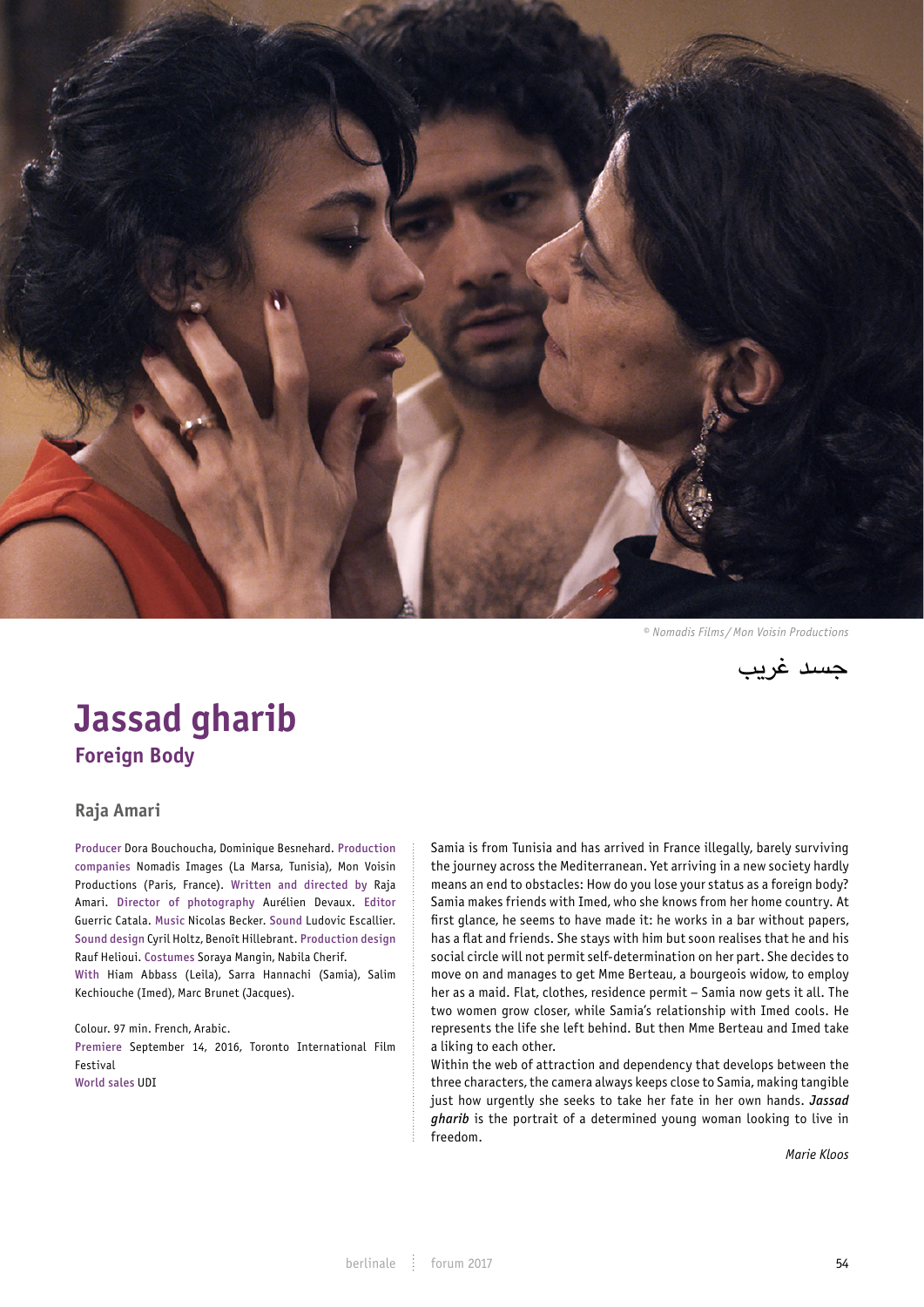

*© Nomadis Films /Mon Voisin Productions*

جسد غريب

# **Jassad gharib Foreign Body**

# **Raja Amari**

Producer Dora Bouchoucha, Dominique Besnehard. Production companies Nomadis Images (La Marsa, Tunisia), Mon Voisin Productions (Paris, France). Written and directed by Raja Amari. Director of photography Aurélien Devaux. Editor Guerric Catala. Music Nicolas Becker. Sound Ludovic Escallier. Sound design Cyril Holtz, Benoît Hillebrant. Production design Rauf Helioui. Costumes Soraya Mangin, Nabila Cherif. With Hiam Abbass (Leila), Sarra Hannachi (Samia), Salim Kechiouche (Imed), Marc Brunet (Jacques).

Colour. 97 min. French, Arabic. Premiere September 14, 2016, Toronto International Film Festival World sales UDI

Samia is from Tunisia and has arrived in France illegally, barely surviving the journey across the Mediterranean. Yet arriving in a new society hardly means an end to obstacles: How do you lose your status as a foreign body? Samia makes friends with Imed, who she knows from her home country. At first glance, he seems to have made it: he works in a bar without papers, מוצא אל הים has a flat and friends. She stays with him but soon realises that he and his social circle will not permit self-determination on her part. She decides to move on and manages to get Mme Berteau, a bourgeois widow, to employ her as a maid. Flat, clothes, residence permit – Samia now gets it all. The two women grow closer, while Samia's relationship with Imed cools. He represents the life she left behind. But then Mme Berteau and Imed take a liking to each other. represents the the she tert behind. But then mine bertead and timed take<br>a liking to each other.<br>Within the web of attraction and dependency that develops between the

three characters, the camera always keeps close to Samia, making tangible just how urgently she seeks to take her fate in her own hands. *Jassad gharib* is the portrait of a determined young woman looking to live in freedom.

> *Marie Kloos* MULTE KLOUS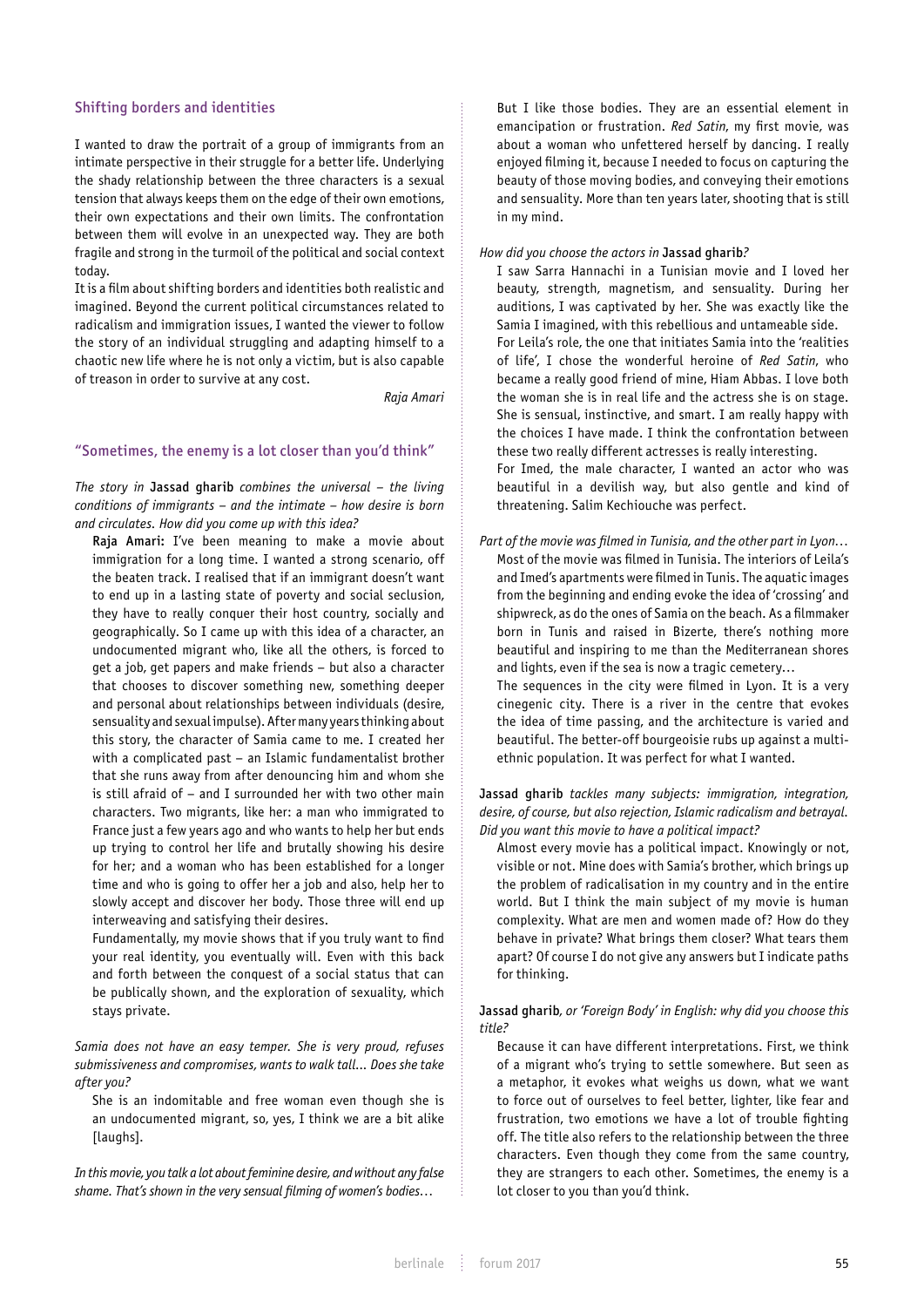## Shifting borders and identities

I wanted to draw the portrait of a group of immigrants from an intimate perspective in their struggle for a better life. Underlying the shady relationship between the three characters is a sexual tension that always keeps them on the edge of their own emotions, their own expectations and their own limits. The confrontation between them will evolve in an unexpected way. They are both fragile and strong in the turmoil of the political and social context today.

It is a film about shifting borders and identities both realistic and imagined. Beyond the current political circumstances related to radicalism and immigration issues, I wanted the viewer to follow the story of an individual struggling and adapting himself to a chaotic new life where he is not only a victim, but is also capable of treason in order to survive at any cost.

*Raja Amari*

## "Sometimes, the enemy is a lot closer than you'd think"

*The story in* Jassad gharib *combines the universal – the living conditions of immigrants – and the intimate – how desire is born and circulates. How did you come up with this idea?*

Raja Amari: I've been meaning to make a movie about immigration for a long time. I wanted a strong scenario, off the beaten track. I realised that if an immigrant doesn't want to end up in a lasting state of poverty and social seclusion, they have to really conquer their host country, socially and geographically. So I came up with this idea of a character, an undocumented migrant who, like all the others, is forced to get a job, get papers and make friends – but also a character that chooses to discover something new, something deeper and personal about relationships between individuals (desire, sensuality and sexual impulse). After many years thinking about this story, the character of Samia came to me. I created her with a complicated past – an Islamic fundamentalist brother that she runs away from after denouncing him and whom she is still afraid of – and I surrounded her with two other main characters. Two migrants, like her: a man who immigrated to France just a few years ago and who wants to help her but ends up trying to control her life and brutally showing his desire for her; and a woman who has been established for a longer time and who is going to offer her a job and also, help her to slowly accept and discover her body. Those three will end up interweaving and satisfying their desires.

Fundamentally, my movie shows that if you truly want to find your real identity, you eventually will. Even with this back and forth between the conquest of a social status that can be publically shown, and the exploration of sexuality, which stays private.

*Samia does not have an easy temper. She is very proud, refuses submissiveness and compromises, wants to walk tall... Does she take after you?* 

She is an indomitable and free woman even though she is an undocumented migrant, so, yes, I think we are a bit alike [laughs].

*In this movie, you talk a lot about feminine desire, and without any false shame. That's shown in the very sensual filming of women's bodies…*

But I like those bodies. They are an essential element in emancipation or frustration. *Red Satin*, my first movie, was about a woman who unfettered herself by dancing. I really enjoyed filming it, because I needed to focus on capturing the beauty of those moving bodies, and conveying their emotions and sensuality. More than ten years later, shooting that is still in my mind.

#### *How did you choose the actors in* Jassad gharib*?*

I saw Sarra Hannachi in a Tunisian movie and I loved her beauty, strength, magnetism, and sensuality. During her auditions, I was captivated by her. She was exactly like the Samia I imagined, with this rebellious and untameable side. For Leila's role, the one that initiates Samia into the 'realities of life', I chose the wonderful heroine of *Red Satin*, who became a really good friend of mine, Hiam Abbas. I love both the woman she is in real life and the actress she is on stage. She is sensual, instinctive, and smart. I am really happy with the choices I have made. I think the confrontation between these two really different actresses is really interesting. For Imed, the male character, I wanted an actor who was beautiful in a devilish way, but also gentle and kind of threatening. Salim Kechiouche was perfect.

*Part of the movie was filmed in Tunisia, and the other part in Lyon…* Most of the movie was filmed in Tunisia. The interiors of Leila's and Imed's apartments were filmed in Tunis. The aquatic images from the beginning and ending evoke the idea of 'crossing' and shipwreck, as do the ones of Samia on the beach. As a filmmaker born in Tunis and raised in Bizerte, there's nothing more beautiful and inspiring to me than the Mediterranean shores and lights, even if the sea is now a tragic cemetery… The sequences in the city were filmed in Lyon. It is a very

cinegenic city. There is a river in the centre that evokes the idea of time passing, and the architecture is varied and beautiful. The better-off bourgeoisie rubs up against a multiethnic population. It was perfect for what I wanted.

# Jassad gharib *tackles many subjects: immigration, integration, desire, of course, but also rejection, Islamic radicalism and betrayal. Did you want this movie to have a political impact?*

Almost every movie has a political impact. Knowingly or not, visible or not. Mine does with Samia's brother, which brings up the problem of radicalisation in my country and in the entire world. But I think the main subject of my movie is human complexity. What are men and women made of? How do they behave in private? What brings them closer? What tears them apart? Of course I do not give any answers but I indicate paths for thinking.

# Jassad gharib*, or 'Foreign Body' in English: why did you choose this title?*

Because it can have different interpretations. First, we think of a migrant who's trying to settle somewhere. But seen as a metaphor, it evokes what weighs us down, what we want to force out of ourselves to feel better, lighter, like fear and frustration, two emotions we have a lot of trouble fighting off. The title also refers to the relationship between the three characters. Even though they come from the same country, they are strangers to each other. Sometimes, the enemy is a lot closer to you than you'd think.